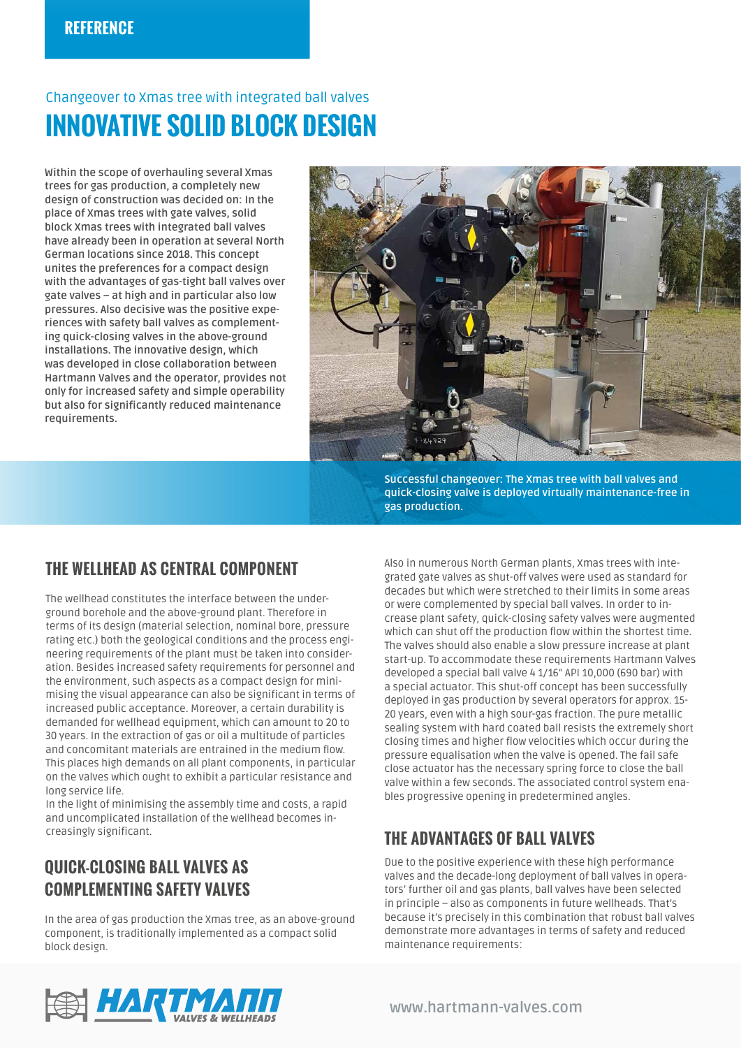# **INNOVATIVE SOLID BLOCK DESIGN** Changeover to Xmas tree with integrated ball valves

**Within the scope of overhauling several Xmas trees for gas production, a completely new design of construction was decided on: In the place of Xmas trees with gate valves, solid block Xmas trees with integrated ball valves have already been in operation at several North German locations since 2018. This concept unites the preferences for a compact design with the advantages of gas-tight ball valves over gate valves – at high and in particular also low pressures. Also decisive was the positive experiences with safety ball valves as complementing quick-closing valves in the above-ground installations. The innovative design, which was developed in close collaboration between Hartmann Valves and the operator, provides not only for increased safety and simple operability but also for significantly reduced maintenance requirements.** 



**Successful changeover: The Xmas tree with ball valves and quick-closing valve is deployed virtually maintenance-free in gas production.**

### **THE WELLHEAD AS CENTRAL COMPONENT**

The wellhead constitutes the interface between the underground borehole and the above-ground plant. Therefore in terms of its design (material selection, nominal bore, pressure rating etc.) both the geological conditions and the process engineering requirements of the plant must be taken into consideration. Besides increased safety requirements for personnel and the environment, such aspects as a compact design for minimising the visual appearance can also be significant in terms of increased public acceptance. Moreover, a certain durability is demanded for wellhead equipment, which can amount to 20 to 30 years. In the extraction of gas or oil a multitude of particles and concomitant materials are entrained in the medium flow. This places high demands on all plant components, in particular on the valves which ought to exhibit a particular resistance and long service life.

In the light of minimising the assembly time and costs, a rapid and uncomplicated installation of the wellhead becomes increasingly significant.

## **QUICK-CLOSING BALL VALVES AS COMPLEMENTING SAFETY VALVES**

In the area of gas production the Xmas tree, as an above-ground component, is traditionally implemented as a compact solid block design.

Also in numerous North German plants, Xmas trees with integrated gate valves as shut-off valves were used as standard for decades but which were stretched to their limits in some areas or were complemented by special ball valves. In order to increase plant safety, quick-closing safety valves were augmented which can shut off the production flow within the shortest time. The valves should also enable a slow pressure increase at plant start-up. To accommodate these requirements Hartmann Valves developed a special ball valve 4 1/16" API 10,000 (690 bar) with a special actuator. This shut-off concept has been successfully deployed in gas production by several operators for approx. 15- 20 years, even with a high sour-gas fraction. The pure metallic sealing system with hard coated ball resists the extremely short closing times and higher flow velocities which occur during the pressure equalisation when the valve is opened. The fail safe close actuator has the necessary spring force to close the ball valve within a few seconds. The associated control system enables progressive opening in predetermined angles.

### **THE ADVANTAGES OF BALL VALVES**

Due to the positive experience with these high performance valves and the decade-long deployment of ball valves in operators' further oil and gas plants, ball valves have been selected in principle – also as components in future wellheads. That's because it's precisely in this combination that robust ball valves demonstrate more advantages in terms of safety and reduced maintenance requirements: